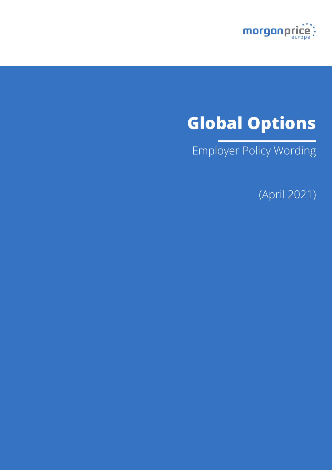

# **Global Options**

Employer Policy Wording

(April 2021)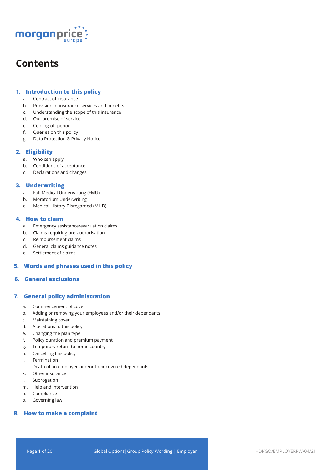

## **Contents**

## **1. Introduction to this policy**

- a. Contract of insurance
- b. Provision of insurance services and benefits
- c. Understanding the scope of this insurance
- d. Our promise of service
- e. Cooling-off period
- f. Queries on this policy
- g. Data Protection & Privacy Notice

## **2. Eligibility**

- a. Who can apply
- b. Conditions of acceptance
- c. Declarations and changes

## **3. Underwriting**

- a. Full Medical Underwriting (FMU)
- b. Moratorium Underwriting
- c. Medical History Disregarded (MHD)

## **4. How to claim**

- a. Emergency assistance/evacuation claims
- b. Claims requiring pre-authorisation
- c. Reimbursement claims
- d. General claims guidance notes
- e. Settlement of claims

## **5. Words and phrases used in this policy**

## **6. General exclusions**

## **7. General policy administration**

- a. Commencement of cover
- b. Adding or removing your employees and/or their dependants
- c. Maintaining cover
- d. Alterations to this policy
- e. Changing the plan type
- f. Policy duration and premium payment
- g. Temporary return to home country
- h. Cancelling this policy
- i. Termination
- j. Death of an employee and/or their covered dependants
- k. Other insurance
- l. Subrogation
- m. Help and intervention
- n. Compliance
- o. Governing law

## **8. How to make a complaint**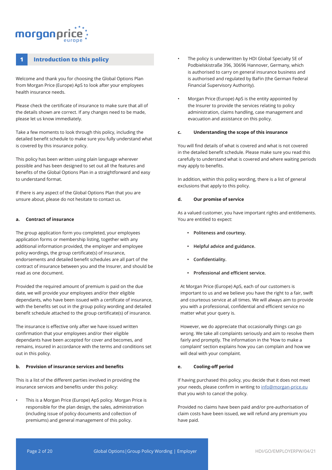## morganpri

## **1 Introduction to this policy**

Welcome and thank you for choosing the Global Options Plan from Morgan Price (Europe) ApS to look after your employees health insurance needs.

Please check the certificate of insurance to make sure that all of the details shown are correct. If any changes need to be made, please let us know immediately.

Take a few moments to look through this policy, including the detailed benefit schedule to make sure you fully understand what is covered by this insurance policy.

This policy has been written using plain language wherever possible and has been designed to set out all the features and benefits of the Global Options Plan in a straightforward and easy to understand format.

If there is any aspect of the Global Options Plan that you are unsure about, please do not hesitate to contact us.

#### **a. Contract of insurance**

The group application form you completed, your employees application forms or membership listing, together with any additional information provided, the employer and employee policy wordings, the group certificate(s) of insurance, endorsements and detailed benefit schedules are all part of the contract of insurance between you and the Insurer, and should be read as one document.

Provided the required amount of premium is paid on the due date, we will provide your employees and/or their eligible dependants, who have been issued with a certificate of insurance, with the benefits set out in the group policy wording and detailed benefit schedule attached to the group certificate(s) of insurance.

The insurance is effective only after we have issued written confirmation that your employees and/or their eligible dependants have been accepted for cover and becomes, and remains, insured in accordance with the terms and conditions set out in this policy.

#### **b. Provision of insurance services and benefits**

This is a list of the different parties involved in providing the insurance services and benefits under this policy:

• This is a Morgan Price (Europe) ApS policy. Morgan Price is responsible for the plan design, the sales, administration (including issue of policy documents and collection of premiums) and general management of this policy.

- The policy is underwritten by HDI Global Specialty SE of Podbielskistraße 396, 30696 Hannover, Germany, which is authorised to carry on general insurance business and is authorised and regulated by BaFin (the German Federal Financial Supervisory Authority).
- Morgan Price (Europe) ApS is the entity appointed by the Insurer to provide the services relating to policy administration, claims handling, case management and evacuation and assistance on this policy.

#### **c. Understanding the scope of this insurance**

You will find details of what is covered and what is not covered in the detailed benefit schedule. Please make sure you read this carefully to understand what is covered and where waiting periods may apply to benefits.

In addition, within this policy wording, there is a list of general exclusions that apply to this policy.

#### **d. Our promise of service**

As a valued customer, you have important rights and entitlements. You are entitled to expect:

- **• Politeness and courtesy.**
- **• Helpful advice and guidance.**
- **• Confidentiality.**
- **• Professional and efficient service.**

At Morgan Price (Europe) ApS, each of our customers is important to us and we believe you have the right to a fair, swift and courteous service at all times. We will always aim to provide you with a professional, confidential and efficient service no matter what your query is.

However, we do appreciate that occasionally things can go wrong. We take all complaints seriously and aim to resolve them fairly and promptly. The information in the 'How to make a complaint' section explains how you can complain and how we will deal with your complaint.

## **e. Cooling-off period**

If having purchased this policy, you decide that it does not meet your needs, please confirm in writing to info@morgan-price.eu that you wish to cancel the policy.

Provided no claims have been paid and/or pre-authorisation of claim costs have been issued, we will refund any premium you have paid.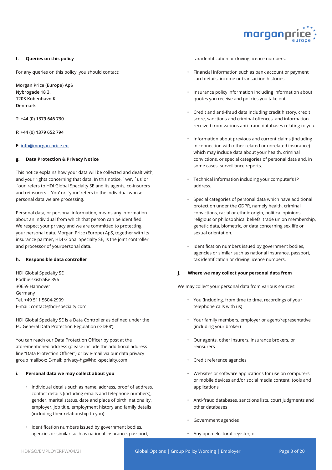

#### **f. Queries on this policy**

For any queries on this policy, you should contact:

**Morgan Price (Europe) ApS Nybrogade 18 3. 1203 Kobenhavn K Denmark**

**T: +44 (0) 1379 646 730**

**F: +44 (0) 1379 652 794**

#### **E: info@morgan-price.eu**

#### **g. Data Protection & Privacy Notice**

This notice explains how your data will be collected and dealt with, and your rights concerning that data. In this notice, `we', `us' or `our' refers to HDI Global Specialty SE and its agents, co-insurers and reinsurers. `You' or `your' refers to the individual whose personal data we are processing.

Personal data, or personal information, means any information about an individual from which that person can be identified. We respect your privacy and we are committed to protecting your personal data. Morgan Price (Europe) ApS, together with its insurance partner, HDI Global Specialty SE, is the joint controller and processor of yourpersonal data.

#### **h. Responsible data controller**

HDI Global Specialty SE Podbielskistraße 396 30659 Hannover Germany Tel. +49 511 5604-2909 E-mail: contact@hdi-specialty.com

HDI Global Specialty SE is a Data Controller as defined under the EU General Data Protection Regulation ('GDPR').

You can reach our Data Protection Officer by post at the aforementioned address (please include the additional address line "Data Protection Officer") or by e-mail via our data privacy group mailbox: E-mail: privacy-hgs@hdi-specialty.com

#### **i. Personal data we may collect about you**

- Individual details such as name, address, proof of address, contact details (including emails and telephone numbers), gender, marital status, date and place of birth, nationality, employer, job title, employment history and family details (including their relationship to you).
- Identification numbers issued by government bodies, agencies or similar such as national insurance, passport,

tax identification or driving licence numbers.

- Financial information such as bank account or payment card details, income or transaction histories.
- Insurance policy information including information about quotes you receive and policies you take out.
- Credit and anti-fraud data including credit history, credit score, sanctions and criminal offences, and information received from various anti-fraud databases relating to you.
- Information about previous and current claims (including in connection with other related or unrelated insurance) which may include data about your health, criminal convictions, or special categories of personal data and, in some cases, surveillance reports.
- Technical information including your computer's IP address.
- Special categories of personal data which have additional protection under the GDPR, namely health, criminal convictions, racial or ethnic origin, political opinions, religious or philosophical beliefs, trade union membership, genetic data, biometric, or data concerning sex life or sexual orientation.
- Identification numbers issued by government bodies, agencies or similar such as national insurance, passport, tax identification or driving licence numbers.

#### **j. Where we may collect your personal data from**

We may collect your personal data from various sources:

- You (including, from time to time, recordings of your telephone calls with us)
- Your family members, employer or agent/representative (including your broker)
- Our agents, other insurers, insurance brokers, or reinsurers
- Credit reference agencies
- Websites or software applications for use on computers or mobile devices and/or social media content, tools and applications
- Anti-fraud databases, sanctions lists, court judgments and other databases
- Government agencies
- Any open electoral register; or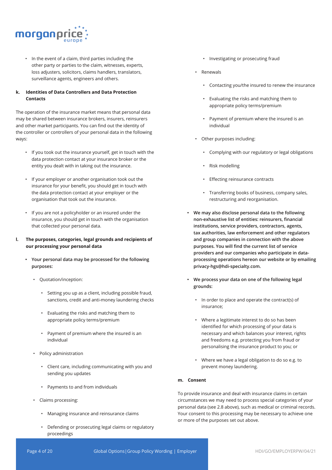

• In the event of a claim, third parties including the other party or parties to the claim, witnesses, experts, loss adjusters, solicitors, claims handlers, translators, surveillance agents, engineers and others.

## **k. Identities of Data Controllers and Data Protection Contacts**

The operation of the insurance market means that personal data may be shared between insurance brokers, insurers, reinsurers and other market participants. You can find out the identity of the controller or controllers of your personal data in the following ways:

- If you took out the insurance yourself, get in touch with the data protection contact at your insurance broker or the entity you dealt with in taking out the insurance.
- If your employer or another organisation took out the insurance for your benefit, you should get in touch with the data protection contact at your employer or the organisation that took out the insurance.
- If you are not a policyholder or an insured under the insurance, you should get in touch with the organisation that collected your personal data.
- **l. The purposes, categories, legal grounds and recipients of our processing your personal data**
	- **• Your personal data may be processed for the following purposes:** 
		- Quotation/inception:
			- Setting you up as a client, including possible fraud, sanctions, credit and anti-money laundering checks
			- Evaluating the risks and matching them to appropriate policy terms/premium
			- Payment of premium where the insured is an individual
		- Policy administration
			- Client care, including communicating with you and sending you updates
			- Payments to and from individuals
		- Claims processing:
			- Managing insurance and reinsurance claims
			- Defending or prosecuting legal claims or regulatory proceedings
- Investigating or prosecuting fraud
- Renewals
	- Contacting you/the insured to renew the insurance
	- Evaluating the risks and matching them to appropriate policy terms/premium
	- Payment of premium where the insured is an individual
- Other purposes including:
	- Complying with our regulatory or legal obligations
	- Risk modelling
	- Effecting reinsurance contracts
	- Transferring books of business, company sales, restructuring and reorganisation.
- **• We may also disclose personal data to the following non-exhaustive list of entities: reinsurers, financial institutions, service providers, contractors, agents, tax authorities, law enforcement and other regulators and group companies in connection with the above purposes. You will find the current list of service providers and our companies who participate in dataprocessing operations hereon our website or by emailing privacy-hgs@hdi-specialty.com.**
- **• We process your data on one of the following legal grounds:**
	- In order to place and operate the contract(s) of insurance;
	- Where a legitimate interest to do so has been identified for which processing of your data is necessary and which balances your interest, rights and freedoms e.g. protecting you from fraud or personalising the insurance product to you; or
	- Where we have a legal obligation to do so e.g. to prevent money laundering.

## **m. Consent**

To provide insurance and deal with insurance claims in certain circumstances we may need to process special categories of your personal data (see 2.8 above), such as medical or criminal records. Your consent to this processing may be necessary to achieve one or more of the purposes set out above.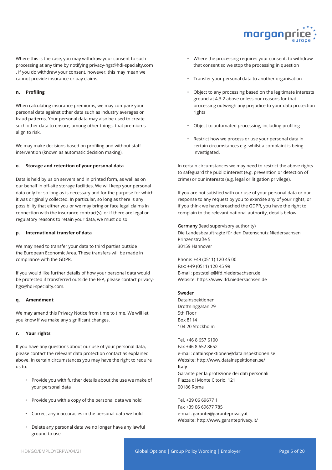

Where this is the case, you may withdraw your consent to such processing at any time by notifying privacy-hgs@hdi-specialty.com . If you do withdraw your consent, however, this may mean we cannot provide insurance or pay claims.

#### **n. Profiling**

When calculating insurance premiums, we may compare your personal data against other data such as industry averages or fraud patterns. Your personal data may also be used to create such other data to ensure, among other things, that premiums align to risk.

We may make decisions based on profiling and without staff intervention (known as automatic decision making).

#### **o. Storage and retention of your personal data**

Data is held by us on servers and in printed form, as well as on our behalf in off-site storage facilities. We will keep your personal data only for so long as is necessary and for the purpose for which it was originally collected. In particular, so long as there is any possibility that either you or we may bring or face legal claims in connection with the insurance contract(s), or if there are legal or regulatory reasons to retain your data, we must do so.

#### **p. International transfer of data**

We may need to transfer your data to third parties outside the European Economic Area. These transfers will be made in compliance with the GDPR.

If you would like further details of how your personal data would be protected if transferred outside the EEA, please contact privacyhgs@hdi-specialty.com.

#### **q. Amendment**

We may amend this Privacy Notice from time to time. We will let you know if we make any significant changes.

#### **r. Your rights**

If you have any questions about our use of your personal data, please contact the relevant data protection contact as explained above. In certain circumstances you may have the right to require us to:

- Provide you with further details about the use we make of your personal data
- Provide you with a copy of the personal data we hold
- Correct any inaccuracies in the personal data we hold
- Delete any personal data we no longer have any lawful ground to use
- Where the processing requires your consent, to withdraw that consent so we stop the processing in question
- Transfer your personal data to another organisation
- Object to any processing based on the legitimate interests ground at 4.3.2 above unless our reasons for that processing outweigh any prejudice to your data protection rights
- Object to automated processing, including profiling
- Restrict how we process or use your personal data in certain circumstances e.g. whilst a complaint is being investigated.

In certain circumstances we may need to restrict the above rights to safeguard the public interest (e.g. prevention or detection of crime) or our interests (e.g. legal or litigation privilege).

If you are not satisfied with our use of your personal data or our response to any request by you to exercise any of your rights, or if you think we have breached the GDPR, you have the right to complain to the relevant national authority, details below.

**Germany** (lead supervisory authority) Die Landesbeauftragte für den Datenschutz Niedersachsen Prinzenstraße 5 30159 Hannover

Phone: +49 (0511) 120 45 00 Fax: +49 (0511) 120 45 99 E-mail: poststelle@lfd.niedersachsen.de Website: https://www.lfd.niedersachsen.de

#### **Sweden**

Datainspektionen Drottninggatan 29 5th Floor Box 8114 104 20 Stockholm

Tel. +46 8 657 6100 Fax +46 8 652 8652 e-mail: datainspektionen@datainspektionen.se Website: http://www.datainspektionen.se/ **Italy** Garante per la protezione dei dati personali Piazza di Monte Citorio, 121 00186 Roma

Tel. +39 06 69677 1 Fax +39 06 69677 785 e-mail: garante@garanteprivacy.it Website: http://www.garanteprivacy.it/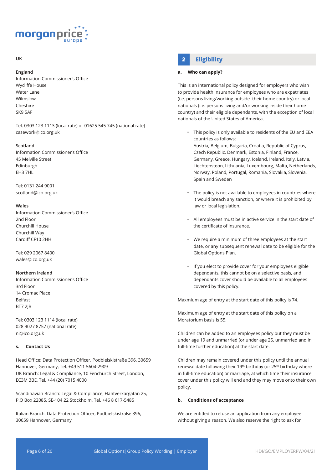

## **UK**

#### **England**

Information Commissioner's Office Wycliffe House Water Lane Wilmslow Cheshire SK9 5AF

Tel: 0303 123 1113 (local rate) or 01625 545 745 (national rate) casework@ico.org.uk

#### **Scotland**

Information Commissioner's Office 45 Melville Street Edinburgh EH3 7HL

Tel: 0131 244 9001 scotland@ico.org.uk

#### **Wales**

Information Commissioner's Office 2nd Floor Churchill House Churchill Way Cardiff CF10 2HH

Tel: 029 2067 8400 wales@ico.org.uk

#### **Northern Ireland**

Information Commissioner's Office 3rd Floor 14 Cromac Place Belfast BT7 2JB

Tel: 0303 123 1114 (local rate) 028 9027 8757 (national rate) ni@ico.org.uk

## **s. Contact Us**

Head Office: Data Protection Officer, Podbielskistraße 396, 30659 Hannover, Germany, Tel. +49 511 5604-2909 UK Branch: Legal & Compliance, 10 Fenchurch Street, London, EC3M 3BE, Tel. +44 (20) 7015 4000

Scandinavian Branch: Legal & Compliance, Hantverkargatan 25, P.O Box 22085, SE-104 22 Stockholm, Tel. +46 8 617-5485

Italian Branch: Data Protection Officer, Podbielskistraße 396, 30659 Hannover, Germany

## **2 Eligibility**

#### **a. Who can apply?**

This is an international policy designed for employers who wish to provide health insurance for employees who are expatriates (i.e. persons living/working outside their home country) or local nationals (i.e. persons living and/or working inside their home country) and their eligible dependants, with the exception of local nationals of the United States of America.

• This policy is only available to residents of the EU and EEA countries as follows:

Austria, Belgium, Bulgaria, Croatia, Republic of Cyprus, Czech Republic, Denmark, Estonia, Finland, France, Germany, Greece, Hungary, Iceland, Ireland, Italy, Latvia, Liechtensteon, Lithuania, Luxembourg, Malta, Netherlands, Norway, Poland, Portugal, Romania, Slovakia, Slovenia, Spain and Sweden

- The policy is not available to employees in countries where it would breach any sanction, or where it is prohibited by law or local legislation.
- All employees must be in active service in the start date of the certificate of insurance.
- We require a minimum of three employees at the start date, or any subsequent renewal date to be eligible for the Global Options Plan.
- If you elect to provide cover for your employees eligible dependants, this cannot be on a selective basis, and dependants cover should be available to all employees covered by this policy.

Maxmium age of entry at the start date of this policy is 74.

Maximum age of entry at the start date of this policy on a Moratorium basis is 55.

Children can be added to an employees policy but they must be under age 19 and unmarried (or under age 25, unmarried and in full-time further education) at the start date.

Children may remain covered under this policy until the annual renewal date following their 19<sup>th</sup> birthday (or 25<sup>th</sup> birthday where in full-time education) or marriage, at which time their insurance cover under this policy will end and they may move onto their own policy.

#### **b. Conditions of acceptance**

We are entitled to refuse an application from any employee without giving a reason. We also reserve the right to ask for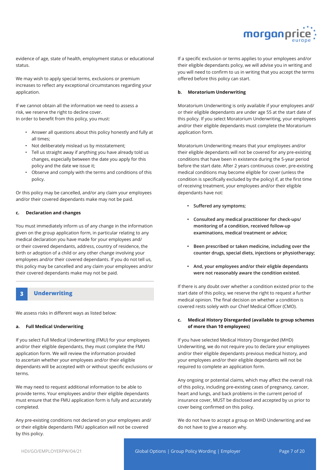

evidence of age, state of health, employment status or educational status.

We may wish to apply special terms, exclusions or premium increases to reflect any exceptional circumstances regarding your application.

If we cannot obtain all the information we need to assess a risk, we reserve the right to decline cover. In order to benefit from this policy, you must:

- Answer all questions about this policy honestly and fully at all times;
- Not deliberately mislead us by misstatement;
- Tell us straight away if anything you have already told us changes, especially between the date you apply for this policy and the date we issue it;
- Observe and comply with the terms and conditions of this policy.

Or this policy may be cancelled, and/or any claim your employees and/or their covered dependants make may not be paid.

#### **c. Declaration and changes**

You must immediately inform us of any change in the information given on the group application form, in particular relating to any medical declaration you have made for your employees and/ or their covered dependants, address, country of residence, the birth or adoption of a child or any other change involving your employees and/or their covered dependants. If you do not tell us, this policy may be cancelled and any claim your employees and/or their covered dependants make may not be paid.

## **3 Underwriting**

We assess risks in different ways as listed below:

#### **a. Full Medical Underwriting**

If you select Full Medical Underwriting (FMU) for your employees and/or their eligible dependants, they must complete the FMU application form. We will review the information provided to ascertain whether your employees and/or their eligible dependants will be accepted with or without specific exclusions or terms.

We may need to request additional information to be able to provide terms. Your employees and/or their eligible dependants must ensure that the FMU application form is fully and accurately completed.

Any pre-existing conditions not declared on your employees and/ or their eligible dependants FMU application will not be covered by this policy.

If a specific exclusion or terms applies to your employees and/or their eligible dependants policy, we will advise you in writing and you will need to confirm to us in writing that you accept the terms offered before this policy can start.

#### **b. Moratorium Underwriting**

Moratorium Underwriting is only available if your employees and/ or their eligible dependants are under age 55 at the start date of this policy. If you select Moratorium Underwriting, your employees and/or their eligible dependants must complete the Moratorium application form.

Moratorium Underwriting means that your employees and/or their eligible dependants will not be covered for any pre-existing conditions that have been in existence during the 5-year period before the start date. After 2 years continuous cover, pre-existing medical conditions may become eligible for cover (unless the condition is specifically excluded by the policy) if, at the first time of receiving treatment, your employees and/or their eligible dependants have not:

- **• Suffered any symptoms;**
- **• Consulted any medical practitioner for check-ups/ monitoring of a condition, received follow-up examinations, medical treatment or advice;**
- **• Been prescribed or taken medicine, including over the counter drugs, special diets, injections or physiotherapy;**
- **• And, your employees and/or their eligble dependants were not reasonably aware the condition existed.**

If there is any doubt over whether a condition existed prior to the start date of this policy, we reserve the right to request a further medical opinion. The final decision on whether a condition is covered rests solely with our Chief Medical Officer (CMO).

#### **c. Medical History Disregarded (available to group schemes of more than 10 employees)**

If you have selected Medical History Disregarded (MHD) Underwriting, we do not require you to declare your employees and/or their eligible dependants previous medical history, and your employees and/or their eligible dependants will not be required to complete an application form.

Any ongoing or potential claims, which may affect the overall risk of this policy, including pre-existing cases of pregnancy, cancer, heart and lungs, and back problems in the current period of insurance cover, MUST be disclosed and accepted by us prior to cover being confirmed on this policy.

We do not have to accept a group on MHD Underwriting and we do not have to give a reason why.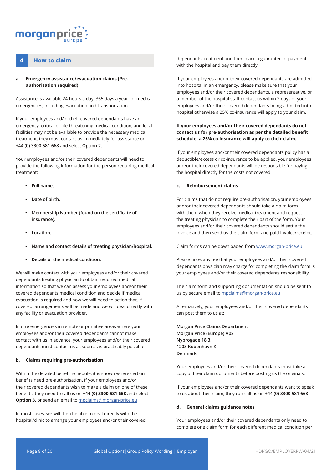

## **4 How to claim**

#### **a. Emergency assistance/evacuation claims (Preauthorisation required)**

Assistance is available 24-hours a day, 365 days a year for medical emergencies, including evacuation and transportation.

If your employees and/or their covered dependants have an emergency, critical or life-threatening medical condition, and local facilities may not be available to provide the necessary medical treatment, they must contact us immediately for assistance on **+44 (0) 3300 581 668** and select **Option 2**.

Your employees and/or their covered dependants will need to provide the following information for the person requiring medical treatment:

- **• Full name.**
- **• Date of birth.**
- **• Membership Number (found on the certificate of insurance).**
- **• Location.**
- **• Name and contact details of treating physician/hospital.**
- **• Details of the medical condition.**

We will make contact with your employees and/or their covered dependants treating physician to obtain required medical information so that we can assess your employees and/or their covered dependants medical condition and decide if medical evacuation is required and how we will need to action that. If covered, arrangements will be made and we will deal directly with any facility or evacuation provider.

In dire emergencies in remote or primitive areas where your employees and/or their covered dependants cannot make contact with us in advance, your employees and/or their covered dependants must contact us as soon as is practicably possible.

#### **b. Claims requiring pre-authorisation**

Within the detailed benefit schedule, it is shown where certain benefits need pre-authorisation. If your employees and/or their covered dependants wish to make a claim on one of these benefits, they need to call us on **+44 (0) 3300 581 668** and select **Option 3,** or send an email to *mpclaims@morgan-price.eu* 

In most cases, we will then be able to deal directly with the hospital/clinic to arrange your employees and/or their covered dependants treatment and then place a guarantee of payment with the hospital and pay them directly.

If your employees and/or their covered dependants are admitted into hospital in an emergency, please make sure that your employees and/or their covered dependants, a representative, or a member of the hospital staff contact us within 2 days of your employees and/or their covered dependants being admitted into hospital otherwise a 25% co-insurance will apply to your claim.

## **If your employees and/or their covered dependants do not contact us for pre-authorisation as per the detailed benefit schedule, a 25% co-insurance will apply to their claim.**

If your employees and/or their covered dependants policy has a deductible/excess or co-insurance to be applied, your employees and/or their covered dependants will be responsible for paying the hospital directly for the costs not covered.

#### **c. Reimbursement claims**

For claims that do not require pre-authorisation, your employees and/or their covered dependants should take a claim form with them when they receive medical treatment and request the treating physician to complete their part of the form. Your employees and/or their covered dependants should settle the invoice and then send us the claim form and paid invoice/receipt.

Claim forms can be downloaded from www.morgan-price.eu

Please note, any fee that your employees and/or their covered dependants physician may charge for completing the claim form is your employees and/or their covered dependants responsibility.

The claim form and supporting documentation should be sent to us by secure email to mpclaims@morgan-price.eu

Alternatively, your employees and/or their covered dependants can post them to us at:

**Morgan Price Claims Department Morgan Price (Europe) ApS Nybrogade 18 3. 1203 Kobenhavn K Denmark**

Your employees and/or their covered dependants must take a copy of their claim documents before posting us the originals.

If your employees and/or their covered dependants want to speak to us about their claim, they can call us on **+44 (0) 3300 581 668**

#### **d. General claims guidance notes**

Your employees and/or their covered dependants only need to complete one claim form for each different medical condition per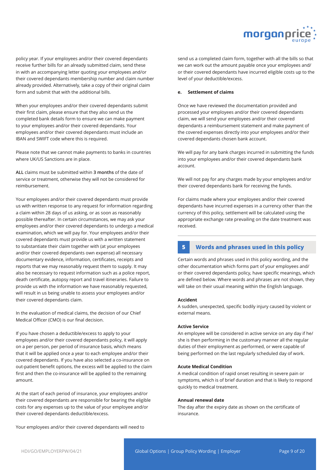

policy year. If your employees and/or their covered dependants receive further bills for an already submitted claim, send these in with an accompanying letter quoting your employees and/or their covered dependants membership number and claim number already provided. Alternatively, take a copy of their original claim form and submit that with the additional bills.

When your employees and/or their covered dependants submit their first claim, please ensure that they also send us the completed bank details form to ensure we can make payment to your employees and/or their covered dependants. Your employees and/or their covered dependants must include an IBAN and SWIFT code where this is required.

Please note that we cannot make payments to banks in countries where UK/US Sanctions are in place.

**ALL** claims must be submitted within **3 months** of the date of service or treatment, otherwise they will not be considered for reimbursement.

Your employees and/or their covered dependants must provide us with written response to any request for information regarding a claim within 28 days of us asking, or as soon as reasonably possible thereafter. In certain circumstances, we may ask your employees and/or their covered dependants to undergo a medical examination, which we will pay for. Your employees and/or their covered dependants must provide us with a written statement to substantiate their claim together with (at your employees and/or their covered dependants own expense) all necessary documentary evidence, information, certificates, receipts and reports that we may reasonably request them to supply. It may also be necessary to request information such as a police report, death certificate, autopsy report and travel itineraries. Failure to provide us with the information we have reasonably requested, will result in us being unable to assess your employees and/or their covered dependants claim.

In the evaluation of medical claims, the decision of our Chief Medical Officer (CMO) is our final decision.

If you have chosen a deductible/excess to apply to your employees and/or their covered dependants policy, it will apply on a per person, per period of insurance basis, which means that it will be applied once a year to each employee and/or their covered dependants. If you have also selected a co-insurance on out-patient benefit options, the excess will be applied to the claim first and then the co-insurance will be applied to the remaining amount.

At the start of each period of insurance, your employees and/or their covered dependants are responsible for bearing the eligible costs for any expenses up to the value of your employee and/or their covered dependants deductible/excess.

Your employees and/or their covered dependants will need to

send us a completed claim form, together with all the bills so that we can work out the amount payable once your employees and/ or their covered dependants have incurred eligible costs up to the level of your deductible/excess.

#### **e. Settlement of claims**

Once we have reviewed the documentation provided and processed your employees and/or their covered dependants claim, we will send your employees and/or their covered dependants a reimbursement statement and make payment of the covered expenses directly into your employees and/or their covered dependants chosen bank account.

We will pay for any bank charges incurred in submitting the funds into your employees and/or their covered dependants bank account.

We will not pay for any charges made by your employees and/or their covered dependants bank for receiving the funds.

For claims made where your employees and/or their covered dependants have incurred expenses in a currency other than the currency of this policy, settlement will be calculated using the appropriate exchange rate prevailing on the date treatment was received.

## **5 Words and phrases used in this policy**

Certain words and phrases used in this policy wording, and the other documentation which forms part of your employees and/ or their covered dependants policy, have specific meanings, which are defined below. Where words and phrases are not shown, they will take on their usual meaning within the English language.

#### **Accident**

A sudden, unexpected, specific bodily injury caused by violent or external means.

#### **Active Service**

An employee will be considered in active service on any day if he/ she is then performing in the customary manner all the regular duties of their employment as performed, or were capable of being performed on the last regularly scheduled day of work.

#### **Acute Medical Condition**

A medical condition of rapid onset resulting in severe pain or symptoms, which is of brief duration and that is likely to respond quickly to medical treatment.

#### **Annual renewal date**

The day after the expiry date as shown on the certificate of insurance.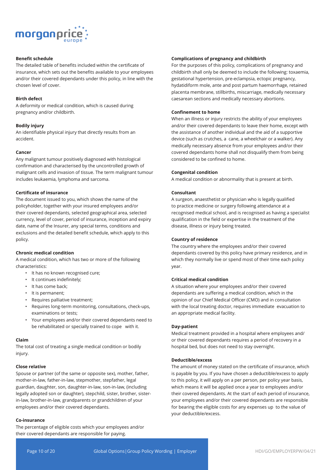

## **Benefit schedule**

The detailed table of benefits included within the certificate of insurance, which sets out the benefits available to your employees and/or their covered dependants under this policy, in line with the chosen level of cover.

#### **Birth defect**

A deformity or medical condition, which is caused during pregnancy and/or childbirth.

#### **Bodily injury**

An identifiable physical injury that directly results from an accident.

#### **Cancer**

Any malignant tumour positively diagnosed with histological confirmation and characterised by the uncontrolled growth of malignant cells and invasion of tissue. The term malignant tumour includes leukaemia, lymphoma and sarcoma.

#### **Certificate of insurance**

The document issued to you, which shows the name of the policyholder, together with your insured employees and/or their covered dependants, selected geographical area, selected currency, level of cover, period of insurance, inception and expiry date, name of the Insurer, any special terms, conditions and exclusions and the detailed benefit schedule, which apply to this policy.

#### **Chronic medical condition**

A medical condition, which has two or more of the following characteristics:

- It has no known recognised cure;
- It continues indefinitely;
- It has come back;
- It is permanent;
- Requires palliative treatment;
- Requires long-term monitoring, consultations, check-ups, examinations or tests;
- Your employees and/or their covered dependants need to be rehabilitated or specially trained to cope with it.

#### **Claim**

The total cost of treating a single medical condition or bodily injury.

#### **Close relative**

Spouse or partner (of the same or opposite sex), mother, father, mother-in-law, father-in-law, stepmother, stepfather, legal guardian, daughter, son, daughter-in-law, son-in-law, (including legally adopted son or daughter), stepchild, sister, brother, sisterin-law, brother-in-law, grandparents or grandchildren of your employees and/or their covered dependants.

#### **Co-insurance**

The percentage of eligible costs which your employees and/or their covered dependants are responsible for paying.

#### **Complications of pregnancy and childbirth**

For the purposes of this policy, complications of pregnancy and childbirth shall only be deemed to include the following: toxaemia, gestational hypertension, pre-eclampsia, ectopic pregnancy, hydatidiform mole, ante and post partum haemorrhage, retained placenta membrane, stillbirths, miscarriage, medically necessary caesarean sections and medically necessary abortions.

#### **Confinement to home**

When an illness or injury restricts the ability of your employees and/or their covered dependants to leave their home, except with the assistance of another individual and the aid of a supportive device (such as crutches, a cane, a wheelchair or a walker). Any medically necessary absence from your employees and/or their covered dependants home shall not disqualify them from being considered to be confined to home.

#### **Congenital condition**

A medical condition or abnormality that is present at birth.

#### **Consultant**

A surgeon, anaesthetist or physician who is legally qualified to practice medicine or surgery following attendance at a recognised medical school, and is recognised as having a specialist qualification in the field or expertise in the treatment of the disease, illness or injury being treated.

#### **Country of residence**

The country where the employees and/or their covered dependants covered by this policy have primary residence, and in which they normally live or spend most of their time each policy year.

#### **Critical medical condition**

A situation where your employees and/or their covered dependants are suffering a medical condition, which in the opinion of our Chief Medical Officer (CMO) and in consultation with the local treating doctor, requires immediate evacuation to an appropriate medical facility.

#### **Day-patient**

Medical treatment provided in a hospital where employees and/ or their covered dependants requires a period of recovery in a hospital bed, but does not need to stay overnight.

#### **Deductible/excess**

The amount of money stated on the certificate of insurance, which is payable by you. If you have chosen a deductible/excess to apply to this policy, it will apply on a per person, per policy year basis, which means it will be applied once a year to employees and/or their covered dependants. At the start of each period of insurance, your employees and/or their covered dependants are responsible for bearing the eligible costs for any expenses up to the value of your deductible/excess.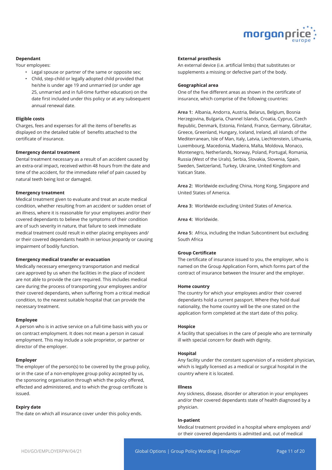

#### **Dependant**

Your employees:

- Legal spouse or partner of the same or opposite sex;
- Child, step-child or legally adopted child provided that he/she is under age 19 and unmarried (or under age 25, unmarried and in full-time further education) on the date first included under this policy or at any subsequent annual renewal date.

#### **Eligible costs**

Charges, fees and expenses for all the items of benefits as displayed on the detailed table of benefits attached to the certificate of insurance.

#### **Emergency dental treatment**

Dental treatment necessary as a result of an accident caused by an extra-oral impact, received within 48 hours from the date and time of the accident, for the immediate relief of pain caused by natural teeth being lost or damaged.

#### **Emergency treatment**

Medical treatment given to evaluate and treat an acute medical condition, whether resulting from an accident or sudden onset of an illness, where it is reasonable for your employees and/or their covered dependants to believe the symptoms of their condition are of such severity in nature, that failure to seek immediate medical treatment could result in either placing employees and/ or their covered dependants health in serious jeopardy or causing impairment of bodily function.

#### **Emergency medical transfer or evacuation**

Medically necessary emergency transportation and medical care approved by us when the facilities in the place of incident are not able to provide the care required. This includes medical care during the process of transporting your employees and/or their covered dependants, when suffering from a critical medical condition, to the nearest suitable hospital that can provide the necessary treatment.

#### **Employee**

A person who is in active service on a full-time basis with you or on contract employment. It does not mean a person in casual employment. This may include a sole proprietor, or partner or director of the employer.

#### **Employer**

The employer of the person(s) to be covered by the group policy, or in the case of a non-employee group policy accepted by us, the sponsoring organisation through which the policy offered, effected and administered, and to which the group certificate is issued.

#### **Expiry date**

The date on which all insurance cover under this policy ends.

#### **External prosthesis**

An external device (i.e. artificial limbs) that substitutes or supplements a missing or defective part of the body.

#### **Geographical area**

One of the five different areas as shown in the certificate of insurance, which comprise of the following countries:

**Area 1:** Albania, Andorra, Austria, Belarus, Belgium, Bosnia Herzegovina, Bulgaria, Channel Islands, Croatia, Cyprus, Czech Republic, Denmark, Estonia, Finland, France, Germany, Gibraltar, Greece, Greenland, Hungary, Iceland, Ireland, all islands of the Mediterranean, Isle of Man, Italy, Latvia, Liechtenstein, Lithuania, Luxembourg, Macedonia, Madeira, Malta, Moldova, Monaco, Montenegro, Netherlands, Norway, Poland, Portugal, Romania, Russia (West of the Urals), Serbia, Slovakia, Slovenia, Spain, Sweden, Switzerland, Turkey, Ukraine, United Kingdom and Vatican State.

**Area 2:** Worldwide excluding China, Hong Kong, Singapore and United States of America.

**Area 3:** Worldwide excluding United States of America.

**Area 4:** Worldwide.

**Area 5:** Africa, including the Indian Subcontinent but excluding South Africa

#### **Group Certificate**

The certificate of insurance issued to you, the employer, who is named on the Group Application Form, which forms part of the contract of insurance between the Insurer and the employer.

#### **Home country**

The country for which your employees and/or their covered dependants hold a current passport. Where they hold dual nationality, the home country will be the one stated on the application form completed at the start date of this policy.

#### **Hospice**

A facility that specialises in the care of people who are terminally ill with special concern for death with dignity.

#### **Hospital**

Any facility under the constant supervision of a resident physician, which is legally licensed as a medical or surgical hospital in the country where it is located.

#### **Illness**

Any sickness, disease, disorder or alteration in your employees and/or their covered dependants state of health diagnosed by a physician.

#### **In-patient**

Medical treatment provided in a hospital where employees and/ or their covered dependants is admitted and, out of medical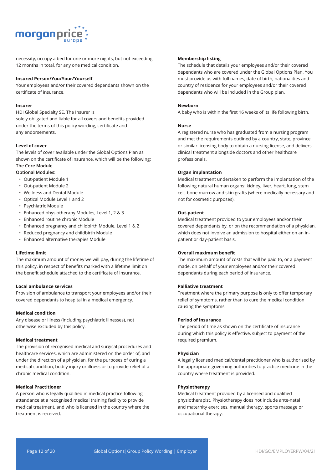

necessity, occupy a bed for one or more nights, but not exceeding 12 months in total, for any one medical condition.

#### **Insured Person/You/Your/Yourself**

Your employees and/or their covered dependants shown on the certificate of insurance.

#### **Insurer**

HDI Global Specialty SE. The Insurer is solely obligated and liable for all covers and benefits provided under the terms of this policy wording, certificate and any endorsements.

#### **Level of cover**

The levels of cover available under the Global Options Plan as shown on the certificate of insurance, which will be the following: **The Core Module**

## **Optional Modules:**

- Out-patient Module 1
- Out-patient Module 2
- Wellness and Dental Module
- Optical Module Level 1 and 2
- Psychiatric Module
- Enhanced physiotherapy Modules, Level 1, 2 & 3
- Enhanced routine chronic Module
- Enhanced pregnancy and childbirth Module, Level 1 & 2
- Reduced pregnancy and childbirth Module
- Enhanced alternative therapies Module

#### **Lifetime limit**

The maximum amount of money we will pay, during the lifetime of this policy, in respect of benefits marked with a lifetime limit on the benefit schedule attached to the certificate of insurance.

#### **Local ambulance services**

Provision of ambulance to transport your employees and/or their covered dependants to hospital in a medical emergency.

#### **Medical condition**

Any disease or illness (including psychiatric illnesses), not otherwise excluded by this policy.

#### **Medical treatment**

The provision of recognised medical and surgical procedures and healthcare services, which are administered on the order of, and under the direction of a physician, for the purposes of curing a medical condition, bodily injury or illness or to provide relief of a chronic medical condition.

#### **Medical Practitioner**

A person who is legally qualified in medical practice following attendance at a recognised medical training facility to provide medical treatment, and who is licensed in the country where the treatment is received.

#### **Membership listing**

The schedule that details your employees and/or their covered dependants who are covered under the Global Options Plan. You must provide us with full names, date of birth, nationalities and country of residence for your employees and/or their covered dependants who will be included in the Group plan.

#### **Newborn**

A baby who is within the first 16 weeks of its life following birth.

#### **Nurse**

A registered nurse who has graduated from a nursing program and met the requirements outlined by a country, state, province or similar licensing body to obtain a nursing license, and delivers clinical treatment alongside doctors and other healthcare professionals.

#### **Organ implantation**

Medical treatment undertaken to perform the implantation of the following natural human organs: kidney, liver, heart, lung, stem cell, bone marrow and skin grafts (where medically necessary and not for cosmetic purposes).

#### **Out-patient**

Medical treatment provided to your employees and/or their covered dependants by, or on the recommendation of a physician, which does not involve an admission to hospital either on an inpatient or day-patient basis.

#### **Overall maximum benefit**

The maximum amount of costs that will be paid to, or a payment made, on behalf of your employees and/or their covered dependants during each period of insurance.

#### **Palliative treatment**

Treatment where the primary purpose is only to offer temporary relief of symptoms, rather than to cure the medical condition causing the symptoms.

#### **Period of insurance**

The period of time as shown on the certificate of insurance during which this policy is effective, subject to payment of the required premium.

#### **Physician**

A legally licensed medical/dental practitioner who is authorised by the appropriate governing authorities to practice medicine in the country where treatment is provided.

#### **Physiotherapy**

Medical treatment provided by a licensed and qualified physiotherapist. Physiotherapy does not include ante-natal and maternity exercises, manual therapy, sports massage or occupational therapy.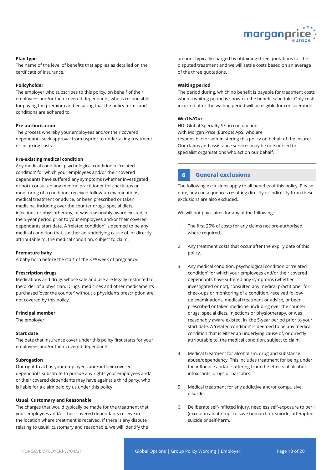

#### **Plan type**

The name of the level of benefits that applies as detailed on the certificate of insurance.

#### **Policyholder**

The employer who subscribes to this policy, on behalf of their employees and/or their covered dependants, who is responsible for paying the premium and ensuring that the policy terms and conditions are adhered to.

## **Pre-authorisation**

The process whereby your employees and/or their covered dependants seek approval from usprior to undertaking treatment or incurring costs.

#### **Pre-existing medical condition**

Any medical condition, psychological condition or 'related condition' for which your employees and/or their covered dependants have suffered any symptoms (whether investigated or not), consulted any medical practitioner for check-ups or monitoring of a condition, received follow-up examinations, medical treatment or advice, or been prescribed or taken medicine, including over the counter drugs, special diets, injections or physiotherapy, or was reasonably aware existed, in the 5-year period prior to your employees and/or their covered dependants start date. A 'related condition' is deemed to be any medical condition that is either an underlying cause of, or directly attributable to, the medical condition, subject to claim.

#### **Premature baby**

A baby born before the start of the 37<sup>th</sup> week of pregnancy.

#### **Prescription drugs**

Medications and drugs whose sale and use are legally restricted to the order of a physician. Drugs, medicines and other medicaments purchased 'over the counter' without a physician's prescription are not covered by this policy.

#### **Principal member**

The employer.

#### **Start date**

The date that insurance cover under this policy first starts for your employees and/or their covered dependants.

#### **Subrogation**

Our right to act as your employees and/or their covered dependants substitute to pursue any rights your employees and/ or their covered dependants may have against a third party, who is liable for a claim paid by us under this policy.

#### **Usual, Customary and Reasonable**

The charges that would typically be made for the treatment that your employees and/or their covered dependants receive in the location where treatment is received. If there is any dispute relating to usual, customary and reasonable, we will identify the

amount typically charged by obtaining three quotations for the disputed treatment and we will settle costs based on an average of the three quotations.

#### **Waiting period**

The period during, which no benefit is payable for treatment costs when a waiting period is shown in the benefit schedule. Only costs incurred after the waiting period will be eligible for consideration.

#### **We/Us/Our**

HDI Global Specialty SE, in conjunction with Morgan Price (Europe) ApS, who are responsible for administering this policy on behalf of the Insurer. Our claims and assistance services may be outsourced to specialist organisations who act on our behalf.

## **6 General exclusions**

The following exclusions apply to all benefits of this policy. Please note, any consequences resulting directly or indirectly from these exclusions are also excluded.

We will not pay claims for any of the following:

- 1. The first 25% of costs for any claims not pre-authorised, where required.
- 2. Any treatment costs that occur after the expiry date of this policy.
- 3. Any medical condition, psychological condition or 'related condition' for which your employees and/or their covered dependants have suffered any symptoms (whether investigated or not), consulted any medical practitioner for check-ups or monitoring of a condition, received followup examinations, medical treatment or advice, or been prescribed or taken medicine, including over the counter drugs, special diets, injections or physiotherapy, or was reasonably aware existed, in the 5-year period prior to your start date. A 'related condition' is deemed to be any medical condition that is either an underlying cause of, or directly attributable to, the medical condition, subject to claim.
- 4. Medical treatment for alcoholism, drug and substance abuse/dependency. This includes treatment for being under the influence and/or suffering from the effects of alcohol, intoxicants, drugs or narcotics.
- 5. Medical treatment for any addictive and/or compulsive disorder.
- 6. Deliberate self-inflicted injury, needless self-exposure to peril (except in an attempt to save human life), suicide, attempted suicide or self-harm.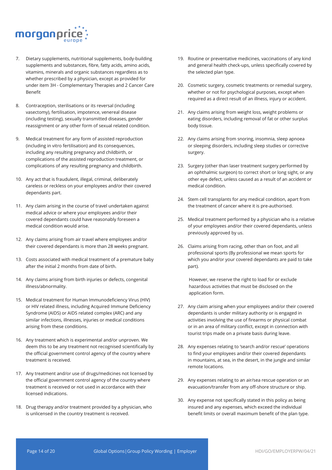

- 7. Dietary supplements, nutritional supplements, body-building supplements and substances, fibre, fatty acids, amino acids, vitamins, minerals and organic substances regardless as to whether prescribed by a physician, except as provided for under item 3H - Complementary Therapies and 2 Cancer Care Benefit
- 8. Contraception, sterilisations or its reversal (including vasectomy), fertilisation, impotence, venereal disease (including testing), sexually transmitted diseases, gender reassignment or any other form of sexual related condition.
- 9. Medical treatment for any form of assisted reproduction (including in vitro fertilisation) and its consequences, including any resulting pregnancy and childbirth, or complications of the assisted reproduction treatment, or complications of any resulting pregnancy and childbirth.
- 10. Any act that is fraudulent, illegal, criminal, deliberately careless or reckless on your employees and/or their covered dependants part.
- 11. Any claim arising in the course of travel undertaken against medical advice or where your employees and/or their covered dependants could have reasonably foreseen a medical condition would arise.
- 12. Any claims arising from air travel where employees and/or their covered dependants is more than 28 weeks pregnant.
- 13. Costs associated with medical treatment of a premature baby after the initial 2 months from date of birth.
- 14. Any claims arising from birth injuries or defects, congenital illness/abnormality.
- 15. Medical treatment for Human Immunodeficiency Virus (HIV) or HIV related illness, including Acquired Immune Deficiency Syndrome (AIDS) or AIDS related complex (ARC) and any similar infections, illnesses, injuries or medical conditions arising from these conditions.
- 16. Any treatment which is experimental and/or unproven. We deem this to be any treatment not recognised scientifically by the official government control agency of the country where treatment is received.
- 17. Any treatment and/or use of drugs/medicines not licensed by the official government control agency of the country where treatment is received or not used in accordance with their licensed indications.
- 18. Drug therapy and/or treatment provided by a physician, who is unlicensed in the country treatment is received.
- 19. Routine or preventative medicines, vaccinations of any kind and general health check-ups, unless specifically covered by the selected plan type.
- 20. Cosmetic surgery, cosmetic treatments or remedial surgery, whether or not for psychological purposes, except when required as a direct result of an illness, injury or accident.
- 21. Any claims arising from weight loss, weight problems or eating disorders, including removal of fat or other surplus body tissue.
- 22. Any claims arising from snoring, insomnia, sleep apnoea or sleeping disorders, including sleep studies or corrective surgery.
- 23. Surgery (other than laser treatment surgery performed by an ophthalmic surgeon) to correct short or long sight, or any other eye defect, unless caused as a result of an accident or medical condition.
- 24. Stem cell transplants for any medical condition, apart from the treatment of cancer where it is pre-authorised.
- 25. Medical treatment performed by a physician who is a relative of your employees and/or their covered dependants, unless previously approved by us.
- 26. Claims arising from racing, other than on foot, and all professional sports (By professional we mean sports for which you and/or your covered dependants are paid to take part).

However, we reserve the right to load for or exclude hazardous activities that must be disclosed on the application form.

- 27. Any claim arising when your employees and/or their covered dependants is under military authority or is engaged in activities involving the use of firearms or physical combat or in an area of military conflict, except in connection with tourist trips made on a private basis during leave.
- 28. Any expenses relating to 'search and/or rescue' operations to find your employees and/or their covered dependants in mountains, at sea, in the desert, in the jungle and similar remote locations.
- 29. Any expenses relating to an air/sea rescue operation or an evacuation/transfer from any off-shore structure or ship.
- 30. Any expense not specifically stated in this policy as being insured and any expenses, which exceed the individual benefit limits or overall maximum benefit of the plan type.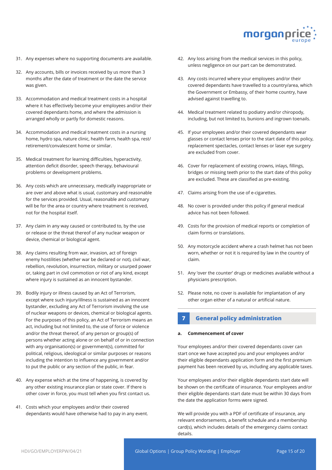

- 31. Any expenses where no supporting documents are available.
- 32. Any accounts, bills or invoices received by us more than 3 months after the date of treatment or the date the service was given.
- 33. Accommodation and medical treatment costs in a hospital where it has effectively become your employees and/or their covered dependants home, and where the admission is arranged wholly or partly for domestic reasons.
- 34. Accommodation and medical treatment costs in a nursing home, hydro spa, nature clinic, health farm, health spa, rest/ retirement/convalescent home or similar.
- 35. Medical treatment for learning difficulties, hyperactivity, attention deficit disorder, speech therapy, behavioural problems or development problems.
- 36. Any costs which are unnecessary, medically inappropriate or are over and above what is usual, customary and reasonable for the services provided. Usual, reasonable and customary will be for the area or country where treatment is received, not for the hospital itself.
- 37. Any claim in any way caused or contributed to, by the use or release or the threat thereof of any nuclear weapon or device, chemical or biological agent.
- 38. Any claims resulting from war, invasion, act of foreign enemy hostilities (whether war be declared or not), civil war, rebellion, revolution, insurrection, military or usurped power or, taking part in civil commotion or riot of any kind, except where injury is sustained as an innocent bystander.
- 39. Bodily injury or illness caused by an Act of Terrorism, except where such injury/illness is sustained as an innocent bystander, excluding any Act of Terrorism involving the use of nuclear weapons or devices, chemical or biological agents. For the purposes of this policy, an Act of Terrorism means an act, including but not limited to, the use of force or violence and/or the threat thereof, of any person or group(s) of persons whether acting alone or on behalf of or in connection with any organisation(s) or government(s), committed for political, religious, ideological or similar purposes or reasons including the intention to influence any government and/or to put the public or any section of the public, in fear.
- 40. Any expense which at the time of happening, is covered by any other existing insurance plan or state cover. If there is other cover in force, you must tell when you first contact us.
- 41. Costs which your employees and/or their covered dependants would have otherwise had to pay in any event.
- 42. Any loss arising from the medical services in this policy, unless negligence on our part can be demonstrated.
- 43. Any costs incurred where your employees and/or their covered dependants have travelled to a country/area, which the Government or Embassy, of their home country, have advised against travelling to.
- 44. Medical treatment related to podiatry and/or chiropody, including, but not limited to, bunions and ingrown toenails.
- 45. If your employees and/or their covered dependants wear glasses or contact lenses prior to the start date of this policy, replacement spectacles, contact lenses or laser eye surgery are excluded from cover.
- 46. Cover for replacement of existing crowns, inlays, fillings, bridges or missing teeth prior to the start date of this policy are excluded. These are classified as pre-existing.
- 47. Claims arising from the use of e-cigarettes.
- 48. No cover is provided under this policy if general medical advice has not been followed.
- 49. Costs for the provision of medical reports or completion of claim forms or translations.
- 50. Any motorcycle accident where a crash helmet has not been worn, whether or not it is required by law in the country of claim.
- 51. Any 'over the counter' drugs or medicines available without a physicians prescription.
- 52. Please note, no cover is available for implantation of any other organ either of a natural or artificial nature.

## **7 General policy administration**

#### **a. Commencement of cover**

Your employees and/or their covered dependants cover can start once we have accepted you and your employees and/or their eligible dependants application form and the first premium payment has been received by us, including any applicable taxes.

Your employees and/or their eligible dependants start date will be shown on the certificate of insurance. Your employees and/or their eligible dependants start date must be within 30 days from the date the application forms were signed.

We will provide you with a PDF of certificate of insurance, any relevant endorsements, a benefit schedule and a membership card(s), which includes details of the emergency claims contact details.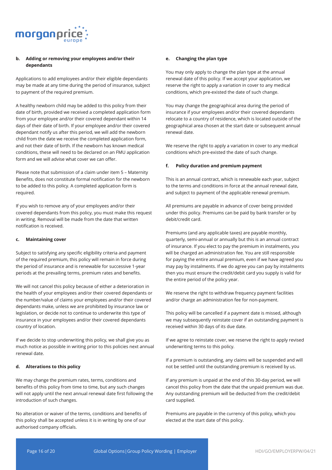

#### **b. Adding or removing your employees and/or their dependants**

Applications to add employees and/or their eligible dependants may be made at any time during the period of insurance, subject to payment of the required premium.

A healthy newborn child may be added to this policy from their date of birth, provided we received a completed application form from your employee and/or their covered dependant within 14 days of their date of birth. If your employee and/or their covered dependant notify us after this period, we will add the newborn child from the date we receive the completed application form, and not their date of birth. If the newborn has known medical conditions, these will need to be declared on an FMU application form and we will advise what cover we can offer.

Please note that submission of a claim under item 5 – Maternity Benefits, does not constitute formal notification for the newborn to be added to this policy. A completed application form is required.

If you wish to remove any of your employees and/or their covered dependants from this policy, you must make this request in writing. Removal will be made from the date that written notification is received.

#### **c. Maintaining cover**

Subject to satisfying any specific eligibility criteria and payment of the required premium, this policy will remain in force during the period of insurance and is renewable for successive 1-year periods at the prevailing terms, premium rates and benefits.

We will not cancel this policy because of either a deterioration in the health of your employees and/or their covered dependants or the number/value of claims your employees and/or their covered dependants make, unless we are prohibited by insurance law or legislation, or decide not to continue to underwrite this type of insurance in your employees and/or their covered dependants country of location.

If we decide to stop underwriting this policy, we shall give you as much notice as possible in writing prior to this policies next annual renewal date.

#### **d. Alterations to this policy**

We may change the premium rates, terms, conditions and benefits of this policy from time to time, but any such changes will not apply until the next annual renewal date first following the introduction of such changes.

No alteration or waiver of the terms, conditions and benefits of this policy shall be accepted unless it is in writing by one of our authorised company officials.

#### **e. Changing the plan type**

You may only apply to change the plan type at the annual renewal date of this policy. If we accept your application, we reserve the right to apply a variation in cover to any medical conditions, which pre-existed the date of such change.

You may change the geographical area during the period of insurance if your employees and/or their covered dependants relocate to a country of residence, which is located outside of the geographical area chosen at the start date or subsequent annual renewal date.

We reserve the right to apply a variation in cover to any medical conditions which pre-existed the date of such change.

#### **f. Policy duration and premium payment**

This is an annual contract, which is renewable each year, subject to the terms and conditions in force at the annual renewal date, and subject to payment of the applicable renewal premium.

All premiums are payable in advance of cover being provided under this policy. Premiums can be paid by bank transfer or by debit/credit card.

Premiums (and any applicable taxes) are payable monthly, quarterly, semi-annual or annually but this is an annual contract of insurance. If you elect to pay the premium in instalments, you will be charged an administration fee. You are still responsible for paying the entire annual premium, even if we have agreed you may pay by instalments. If we do agree you can pay by instalments then you must ensure the credit/debit card you supply is valid for the entire period of the policy year.

We reserve the right to withdraw frequency payment facilities and/or charge an administration fee for non-payment.

This policy will be cancelled if a payment date is missed, although we may subsequently reinstate cover if an outstanding payment is received within 30 days of its due date.

If we agree to reinstate cover, we reserve the right to apply revised underwriting terms to this policy.

If a premium is outstanding, any claims will be suspended and will not be settled until the outstanding premium is received by us.

If any premium is unpaid at the end of this 30-day period, we will cancel this policy from the date that the unpaid premium was due. Any outstanding premium will be deducted from the credit/debit card supplied.

Premiums are payable in the currency of this policy, which you elected at the start date of this policy.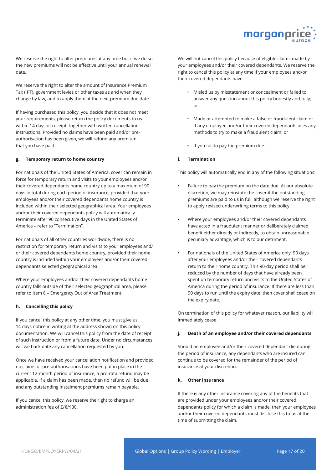

We reserve the right to alter premiums at any time but if we do so, the new premiums will not be effective until your annual renewal date.

We reserve the right to alter the amount of Insurance Premium Tax (IPT), government levies or other taxes as and when they change by law, and to apply them at the next premium due date.

If having purchased this policy, you decide that it does not meet your requirements, please return the policy documents to us within 14 days of receipt, together with written cancellation instructions. Provided no claims have been paid and/or preauthorisation has been given, we will refund any premium that you have paid.

#### **g. Temporary return to home country**

For nationals of the United States of America, cover can remain in force for temporary return and visits to your employees and/or their covered dependants home country up to a maximum of 90 days in total during each period of insurance, provided that your employees and/or their covered dependants home country is included within their selected geographical area. Your employees and/or their covered dependants policy will automatically terminate after 90 consecutive days in the United States of America – refer to "Termination".

For nationals of all other countries worldwide, there is no restriction for temporary return and visits to your employees and/ or their covered dependants home country, provided their home country is included within your employees and/or their covered dependants selected geographical area.

Where your employees and/or their covered dependants home country falls outside of their selected geographical area, please refer to Item 8 – Emergency Out of Area Treatment.

## **h. Cancelling this policy**

If you cancel this policy at any other time, you must give us 14 days notice in writing at the address shown on this policy documentation. We will cancel this policy from the date of receipt of such instruction or from a future date. Under no circumstances will we back date any cancellation requested by you.

Once we have received your cancellation notification and provided no claims or pre-authorisations have been put in place in the current 12-month period of insurance, a pro-rata refund may be applicable. If a claim has been made, then no refund will be due and any outstanding instalment premiums remain payable.

If you cancel this policy, we reserve the right to charge an administration fee of £/€/\$30.

We will not cancel this policy because of eligible claims made by your employees and/or their covered dependants. We reserve the right to cancel this policy at any time if your employees and/or their covered dependants have:

- Misled us by misstatement or concealment or failed to answer any question about this policy honestly and fully; or
- Made or attempted to make a false or fraudulent claim or if any employee and/or their covered dependants uses any methods to try to make a fraudulent claim; or
- If you fail to pay the premium due.

## **i. Termination**

This policy will automatically end in any of the following situations:

- Failure to pay the premium on the date due. At our absolute discretion, we may reinstate the cover if the outstanding premiums are paid to us in full, although we reserve the right to apply revised underwriting terms to this policy.
- Where your employees and/or their covered dependants have acted in a fraudulent manner or deliberately claimed benefit either directly or indirectly, to obtain unreasonable pecuniary advantage, which is to our detriment.
- For nationals of the United States of America only, 90 days after your employees and/or their covered dependants return to their home country. This 90-day period shall be reduced by the number of days that have already been spent on temporary return and visits to the United States of America during the period of insurance. If there are less than 90 days to run until the expiry date, then cover shall cease on the expiry date.

On termination of this policy for whatever reason, our liability will immediately cease.

#### **j. Death of an employee and/or their covered dependants**

Should an employee and/or their covered dependant die during the period of insurance, any dependants who are insured can continue to be covered for the remainder of the period of insurance at your discretion.

#### **k. Other insurance**

If there is any other insurance covering any of the benefits that are provided under your employees and/or their covered dependants policy for which a claim is made, then your employees and/or their covered dependants must disclose this to us at the time of submitting the claim.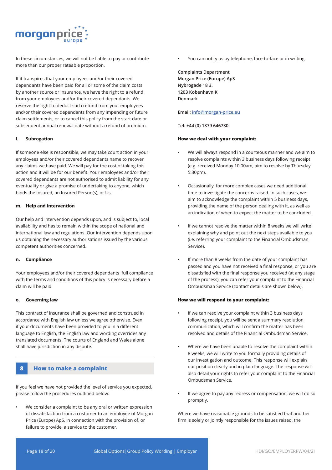

In these circumstances, we will not be liable to pay or contribute more than our proper rateable proportion.

If it transpires that your employees and/or their covered dependants have been paid for all or some of the claim costs by another source or insurance, we have the right to a refund from your employees and/or their covered dependants. We reserve the right to deduct such refund from your employees and/or their covered dependants from any impending or future claim settlements, or to cancel this policy from the start date or subsequent annual renewal date without a refund of premium.

#### **l. Subrogation**

If someone else is responsible, we may take court action in your employees and/or their covered dependants name to recover any claims we have paid. We will pay for the cost of taking this action and it will be for our benefit. Your employees and/or their covered dependants are not authorised to admit liability for any eventuality or give a promise of undertaking to anyone, which binds the Insured, an Insured Person(s), or Us.

#### **m. Help and intervention**

Our help and intervention depends upon, and is subject to, local availability and has to remain within the scope of national and international law and regulations. Our intervention depends upon us obtaining the necessary authorisations issued by the various competent authorities concerned.

#### **n. Compliance**

Your employees and/or their covered dependants full compliance with the terms and conditions of this policy is necessary before a claim will be paid.

#### **o. Governing law**

This contract of insurance shall be governed and construed in accordance with English law unless we agree otherwise. Even if your documents have been provided to you in a different language to English, the English law and wording overrides any translated documents. The courts of England and Wales alone shall have jurisdiction in any dispute.

## **8 How to make a complaint**

If you feel we have not provided the level of service you expected, please follow the procedures outlined below:

We consider a complaint to be any oral or written expression of dissatisfaction from a customer to an employee of Morgan Price (Europe) ApS, in connection with the provision of, or failure to provide, a service to the customer.

You can notify us by telephone, face-to-face or in writing.

**Complaints Department Morgan Price (Europe) ApS Nybrogade 18 3. 1203 Kobenhavn K Denmark**

#### **Email: info@morgan-price.eu**

**Tel: +44 (0) 1379 646730**

#### **How we deal with your complaint:**

- We will always respond in a courteous manner and we aim to resolve complaints within 3 business days following receipt (e.g. received Monday 10:00am, aim to resolve by Thursday 5:30pm).
- Occasionally, for more complex cases we need additional time to investigate the concerns raised. In such cases, we aim to acknowledge the complaint within 5 business days, providing the name of the person dealing with it, as well as an indication of when to expect the matter to be concluded.
- If we cannot resolve the matter within 8 weeks we will write explaining why and point out the next steps available to you (i.e. referring your complaint to the Financial Ombudsman Service).
- If more than 8 weeks from the date of your complaint has passed and you have not received a final response, or you are dissatisfied with the final response you received (at any stage of the process), you can refer your complaint to the Financial Ombudsman Service (contact details are shown below).

#### **How we will respond to your complaint:**

- If we can resolve your complaint within 3 business days following receipt, you will be sent a summary resolution communication, which will confirm the matter has been resolved and details of the Financial Ombudsman Service.
- Where we have been unable to resolve the complaint within 8 weeks, we will write to you formally providing details of our investigation and outcome. This response will explain our position clearly and in plain language. The response will also detail your rights to refer your complaint to the Financial Ombudsman Service.
- If we agree to pay any redress or compensation, we will do so promptly.

Where we have reasonable grounds to be satisfied that another firm is solely or jointly responsible for the issues raised, the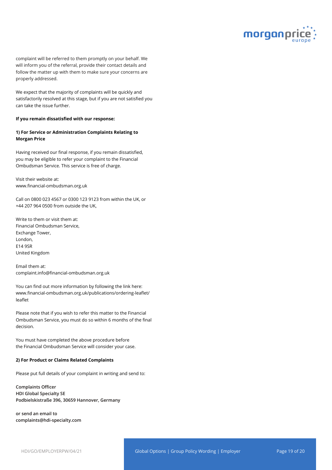

complaint will be referred to them promptly on your behalf. We will inform you of the referral, provide their contact details and follow the matter up with them to make sure your concerns are properly addressed.

We expect that the majority of complaints will be quickly and satisfactorily resolved at this stage, but if you are not satisfied you can take the issue further.

#### **If you remain dissatisfied with our response:**

## **1) For Service or Administration Complaints Relating to Morgan Price**

Having received our final response, if you remain dissatisfied, you may be eligible to refer your complaint to the Financial Ombudsman Service. This service is free of charge.

Visit their website at: www.financial-ombudsman.org.uk

Call on 0800 023 4567 or 0300 123 9123 from within the UK, or +44 207 964 0500 from outside the UK,

Write to them or visit them at: Financial Ombudsman Service, Exchange Tower, London, E14 9SR United Kingdom

Email them at: complaint.info@financial-ombudsman.org.uk

You can find out more information by following the link here: www.financial-ombudsman.org.uk/publications/ordering-leaflet/ leaflet

Please note that if you wish to refer this matter to the Financial Ombudsman Service, you must do so within 6 months of the final decision.

You must have completed the above procedure before the Financial Ombudsman Service will consider your case.

#### **2) For Product or Claims Related Complaints**

Please put full details of your complaint in writing and send to:

**Complaints Officer HDI Global Specialty SE Podbielskistraße 396, 30659 Hannover, Germany**

**or send an email to complaints@hdi-specialty.com**